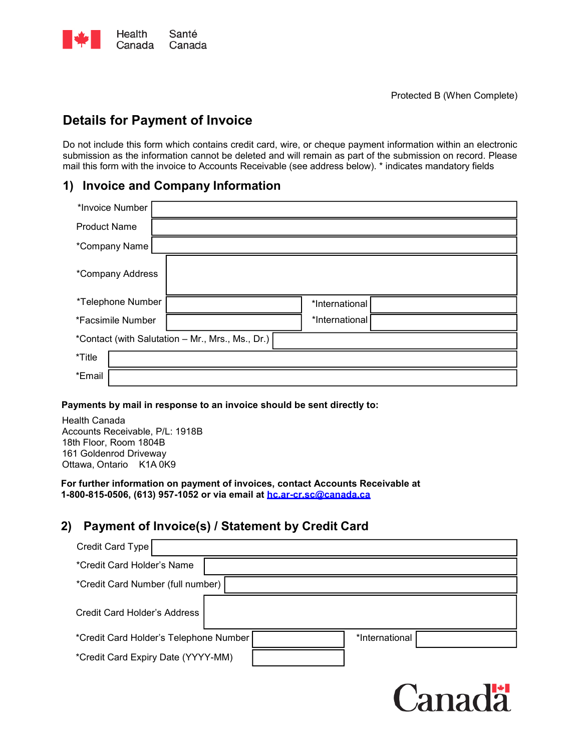

# **Details for Payment of Invoice**

Do not include this form which contains credit card, wire, or cheque payment information within an electronic submission as the information cannot be deleted and will remain as part of the submission on record. Please mail this form with the invoice to Accounts Receivable (see address below). \* indicates mandatory fields

### **1) Invoice and Company Information**

| *Invoice Number                                  |  |                |  |  |  |
|--------------------------------------------------|--|----------------|--|--|--|
| <b>Product Name</b>                              |  |                |  |  |  |
| *Company Name                                    |  |                |  |  |  |
| *Company Address                                 |  |                |  |  |  |
| *Telephone Number                                |  | *International |  |  |  |
| *Facsimile Number                                |  | *International |  |  |  |
| *Contact (with Salutation - Mr., Mrs., Ms., Dr.) |  |                |  |  |  |
| *Title                                           |  |                |  |  |  |
| *Email                                           |  |                |  |  |  |

#### **Payments by mail in response to an invoice should be sent directly to:**

Health Canada Accounts Receivable, P/L: 1918B 18th Floor, Room 1804B 161 Goldenrod Driveway Ottawa, Ontario K1A 0K9

**For further information on payment of invoices, contact Accounts Receivable at 1-800-815-0506, (613) 957-1052 or via email at [hc.ar-cr.sc@canada.ca](mailto:hc.ar-cr.sc@canada.ca)**

## **2) Payment of Invoice(s) / Statement by Credit Card**

| Credit Card Type                   |                                                          |  |  |  |  |
|------------------------------------|----------------------------------------------------------|--|--|--|--|
| *Credit Card Holder's Name         |                                                          |  |  |  |  |
| *Credit Card Number (full number)  |                                                          |  |  |  |  |
| Credit Card Holder's Address       |                                                          |  |  |  |  |
|                                    | *International<br>*Credit Card Holder's Telephone Number |  |  |  |  |
| *Credit Card Expiry Date (YYYY-MM) |                                                          |  |  |  |  |